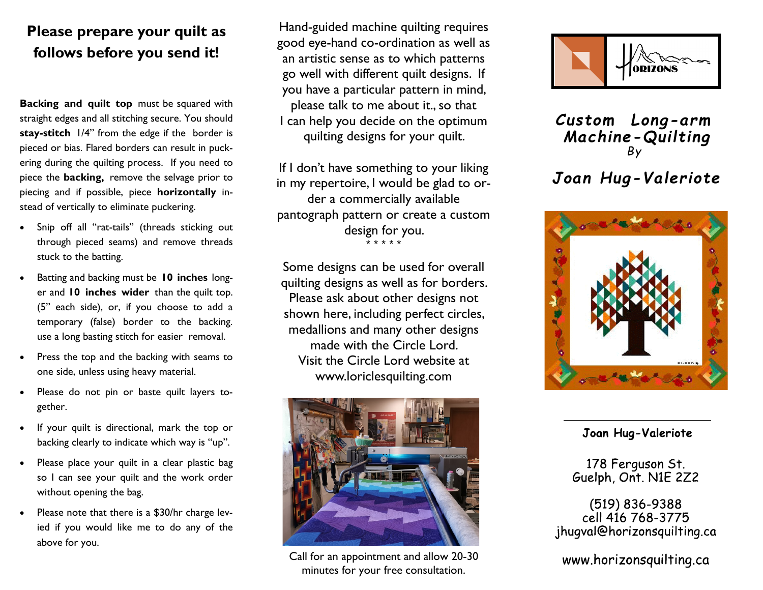# **Please prepare your quilt as follows before you send it!**

**Backing and quilt top** must be squared with straight edges and all stitching secure. You should **stay-stitch** 1/4" from the edge if the border is pieced or bias. Flared borders can result in puckering during the quilting process. If you need to piece the **backing,** remove the selvage prior to piecing and if possible, piece **horizontally** instead of vertically to eliminate puckering.

- Snip off all "rat-tails" (threads sticking out through pieced seams) and remove threads stuck to the batting.
- Batting and backing must be **10 inches** longer and **10 inches wider** than the quilt top. (5" each side), or, if you choose to add a temporary (false) border to the backing. use a long basting stitch for easier removal.
- Press the top and the backing with seams to one side, unless using heavy material.
- Please do not pin or baste quilt layers together.
- If your quilt is directional, mark the top or backing clearly to indicate which way is "up".
- Please place your quilt in a clear plastic bag so I can see your quilt and the work order without opening the bag.
- Please note that there is a \$30/hr charge levied if you would like me to do any of the above for you.

Hand-guided machine quilting requires good eye-hand co-ordination as well as an artistic sense as to which patterns go well with different quilt designs. If you have a particular pattern in mind, please talk to me about it., so that I can help you decide on the optimum quilting designs for your quilt.

If I don't have something to your liking in my repertoire, I would be glad to order a commercially available pantograph pattern or create a custom design for you. \* \* \* \* \*

Some designs can be used for overall quilting designs as well as for borders. Please ask about other designs not shown here, including perfect circles, medallions and many other designs made with the Circle Lord. Visit the Circle Lord website at www.loriclesquilting.com



Call for an appointment and allow 20-30 minutes for your free consultation.



*Custom Long-arm Machine-Quilting By Joan Hug-Valeriote*



## Joan Hug-Valeriote

178 Ferguson St. Guelph, Ont. N1E 2Z2

 $(519) 836 - 9388$ cell 416 768-3775 jhugval@horizonsquilting.ca

www.horizonsquilting.ca